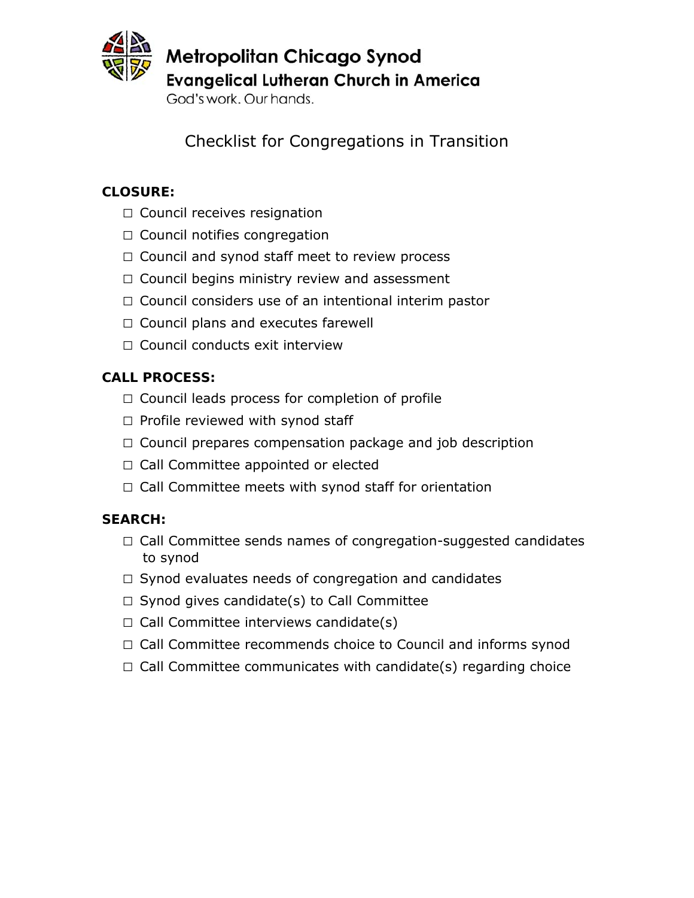

Metropolitan Chicago Synod **Evangelical Lutheran Church in America** 

God's work, Our hands.

Checklist for Congregations in Transition

## **CLOSURE:**

- □ Council receives resignation
- $\Box$  Council notifies congregation
- $\Box$  Council and synod staff meet to review process
- $\Box$  Council begins ministry review and assessment
- $\Box$  Council considers use of an intentional interim pastor
- □ Council plans and executes farewell
- $\Box$  Council conducts exit interview

# **CALL PROCESS:**

- $\Box$  Council leads process for completion of profile
- $\square$  Profile reviewed with synod staff
- $\Box$  Council prepares compensation package and job description
- □ Call Committee appointed or elected
- $\Box$  Call Committee meets with synod staff for orientation

## **SEARCH:**

- $\Box$  Call Committee sends names of congregation-suggested candidates to synod
- $\Box$  Synod evaluates needs of congregation and candidates
- $\Box$  Synod gives candidate(s) to Call Committee
- $\Box$  Call Committee interviews candidate(s)
- □ Call Committee recommends choice to Council and informs synod
- $\Box$  Call Committee communicates with candidate(s) regarding choice